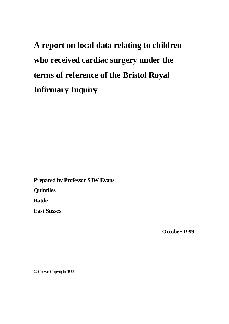**A report on local data relating to children who received cardiac surgery under the terms of reference of the Bristol Royal Infirmary Inquiry**

**Prepared by Professor SJW Evans Quintiles Battle East Sussex**

**October 1999**

© Crown Copyright 1999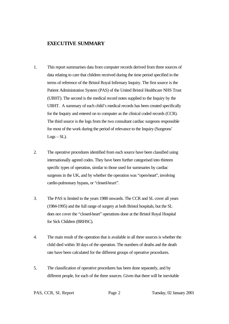# **EXECUTIVE SUMMARY**

- 1. This report summarises data from computer records derived from three sources of data relating to care that children received during the time period specified in the terms of reference of the Bristol Royal Infirmary Inquiry. The first source is the Patient Administration System (PAS) of the United Bristol Healthcare NHS Trust (UBHT). The second is the medical record notes supplied to the Inquiry by the UBHT. A summary of each child's medical records has been created specifically for the Inquiry and entered on to computer as the clinical coded records (CCR). The third source is the logs from the two consultant cardiac surgeons responsible for most of the work during the period of relevance to the Inquiry (Surgeons'  $Logs - SL$ ).
- 2. The operative procedures identified from each source have been classified using internationally agreed codes. They have been further categorised into thirteen specific types of operation, similar to those used for summaries by cardiac surgeons in the UK, and by whether the operation was "open-heart", involving cardio-pulmonary bypass, or "closed-heart".
- 3. The PAS is limited to the years 1988 onwards. The CCR and SL cover all years (1984-1995) and the full range of surgery at both Bristol hospitals, but the SL does not cover the "closed-heart" operations done at the Bristol Royal Hospital for Sick Children (BRHSC).
- 4. The main result of the operation that is available in all three sources is whether the child died within 30 days of the operation. The numbers of deaths and the death rate have been calculated for the different groups of operative procedures.
- 5. The classification of operative procedures has been done separately, and by different people, for each of the three sources. Given that there will be inevitable

PAS, CCR, SL Report Page 2 Tuesday, 02 January 2001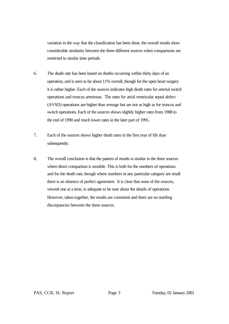variation in the way that the classification has been done, the overall results show considerable similarity between the three different sources when comparisons are restricted to similar time periods.

- 6. The death rate has been based on deaths occurring within thirty days of an operation, and is seen to be about 11% overall, though for the open heart surgery it is rather higher. Each of the sources indicates high death rates for arterial switch operations and truncus arteriosus. The rates for atrial ventricular septal defect (AVSD) operations are higher than average but are not as high as for truncus and switch operations. Each of the sources shows slightly higher rates from 1988 to the end of 1990 and much lower rates in the later part of 1995.
- 7. Each of the sources shows higher death rates in the first year of life than subsequently.
- 8. The overall conclusion is that the pattern of results is similar in the three sources where direct comparison is sensible. This is both for the numbers of operations and for the death rate, though where numbers in any particular category are small there is an absence of perfect agreement. It is clear that none of the sources, viewed one at a time, is adequate to be sure about the details of operations. However, taken together, the results are consistent and there are no startling discrepancies between the three sources.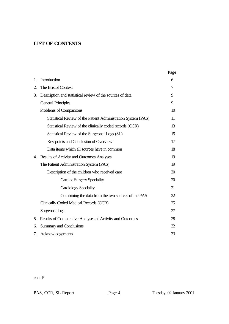# **LIST OF CONTENTS**

|    |                                                               | Page             |
|----|---------------------------------------------------------------|------------------|
| 1. | Introduction                                                  | 6                |
| 2. | The Bristol Context                                           | 7                |
| 3. | Description and statistical review of the sources of data     | 9                |
|    | <b>General Principles</b>                                     | 9                |
|    | Problems of Comparisons                                       | 10 <sup>10</sup> |
|    | Statistical Review of the Patient Administration System (PAS) | 11               |
|    | Statistical Review of the clinically coded records (CCR)      | 13               |
|    | Statistical Review of the Surgeons' Logs (SL)                 | 15               |
|    | Key points and Conclusion of Overview                         | 17               |
|    | Data items which all sources have in common                   | 18               |
| 4. | Results of Activity and Outcomes Analyses                     | 19               |
|    | The Patient Administration System (PAS)                       | 19               |
|    | Description of the children who received care                 | 20               |
|    | <b>Cardiac Surgery Speciality</b>                             | 20               |
|    | <b>Cardiology Speciality</b>                                  | 21               |
|    | Combining the data from the two sources of the PAS            | 22               |
|    | Clinically Coded Medical Records (CCR)                        | 25               |
|    | Surgeons' logs                                                | 27               |
| 5. | Results of Comparative Analyses of Activity and Outcomes      | 28               |
| б. | <b>Summary and Conclusions</b>                                | 32               |
| 7. | Acknowledgements                                              | 33               |

contd/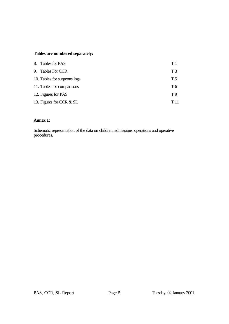# **Tables are numbered separately:**

| 8. Tables for PAS            | T1             |
|------------------------------|----------------|
| 9. Tables For CCR            | T <sub>3</sub> |
| 10. Tables for surgeons logs | T 5            |
| 11. Tables for comparisons   | T 6            |
| 12. Figures for PAS          | T9             |
| 13. Figures for CCR & SL     | T 11           |

# **Annex 1:**

Schematic representation of the data on children, admissions, operations and operative procedures.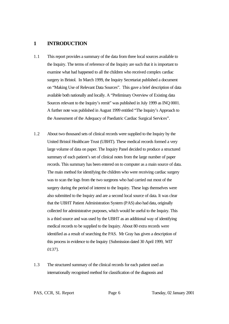## **1 INTRODUCTION**

- 1.1 This report provides a summary of the data from three local sources available to the Inquiry. The terms of reference of the Inquiry are such that it is important to examine what had happened to all the children who received complex cardiac surgery in Bristol. In March 1999, the Inquiry Secretariat published a document on "Making Use of Relevant Data Sources". This gave a brief description of data available both nationally and locally. A "Preliminary Overview of Existing data Sources relevant to the Inquiry's remit" was published in July 1999 as INQ 0001. A further note was published in August 1999 entitled "The Inquiry's Approach to the Assessment of the Adequacy of Paediatric Cardiac Surgical Services".
- 1.2 About two thousand sets of clinical records were supplied to the Inquiry by the United Bristol Healthcare Trust (UBHT). These medical records formed a very large volume of data on paper. The Inquiry Panel decided to produce a structured summary of each patient's set of clinical notes from the large number of paper records. This summary has been entered on to computer as a main source of data. The main method for identifying the children who were receiving cardiac surgery was to scan the logs from the two surgeons who had carried out most of the surgery during the period of interest to the Inquiry. These logs themselves were also submitted to the Inquiry and are a second local source of data. It was clear that the UBHT Patient Administration System (PAS) also had data, originally collected for administrative purposes, which would be useful to the Inquiry. This is a third source and was used by the UBHT as an additional way of identifying medical records to be supplied to the Inquiry. About 80 extra records were identified as a result of searching the PAS. Mr Gray has given a description of this process in evidence to the Inquiry {Submission dated 30 April 1999, *WIT 0137*}.
- 1.3 The structured summary of the clinical records for each patient used an internationally recognised method for classification of the diagnosis and

PAS, CCR, SL Report Page 6 Tuesday, 02 January 2001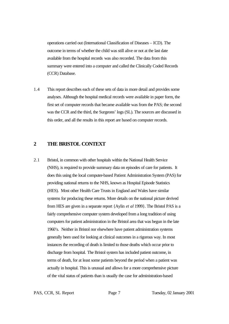operations carried out (International Classification of Diseases – ICD). The outcome in terms of whether the child was still alive or not at the last date available from the hospital records was also recorded. The data from this summary were entered into a computer and called the Clinically Coded Records (CCR) Database.

1.4 This report describes each of these sets of data in more detail and provides some analyses. Although the hospital medical records were available in paper form, the first set of computer records that became available was from the PAS; the second was the CCR and the third, the Surgeons' logs (SL). The sources are discussed in this order, and all the results in this report are based on computer records.

# **2 THE BRISTOL CONTEXT**

2.1 Bristol, in common with other hospitals within the National Health Service (NHS), is required to provide summary data on episodes of care for patients. It does this using the local computer-based Patient Administration System (PAS) for providing national returns to the NHS, known as Hospital Episode Statistics (HES). Most other Health Care Trusts in England and Wales have similar systems for producing these returns. More details on the national picture derived from HES are given in a separate report {Aylin *et al* 1999}. The Bristol PAS is a fairly comprehensive computer system developed from a long tradition of using computers for patient administration in the Bristol area that was begun in the late 1960's. Neither in Bristol nor elsewhere have patient administration systems generally been used for looking at clinical outcomes in a rigorous way. In most instances the recording of death is limited to those deaths which occur prior to discharge from hospital. The Bristol system has included patient outcome, in terms of death, for at least some patients beyond the period when a patient was actually in hospital. This is unusual and allows for a more comprehensive picture of the vital status of patients than is usually the case for administration-based

PAS, CCR, SL Report Page 7 Tuesday, 02 January 2001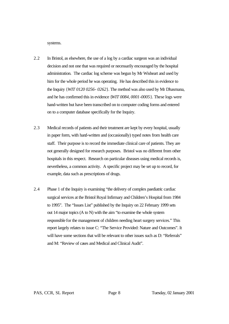systems.

- 2.2 In Bristol, as elsewhere, the use of a log by a cardiac surgeon was an individual decision and not one that was required or necessarily encouraged by the hospital administration. The cardiac log scheme was begun by Mr Wisheart and used by him for the whole period he was operating. He has described this in evidence to the Inquiry {*WIT 0120 0256- 0262*}. The method was also used by Mr Dhasmana, and he has confirmed this in evidence {*WIT 0084, 0001-0005*}. These logs were hand-written but have been transcribed on to computer coding forms and entered on to a computer database specifically for the Inquiry.
- 2.3 Medical records of patients and their treatment are kept by every hospital, usually in paper form, with hand-written and (occasionally) typed notes from health care staff. Their purpose is to record the immediate clinical care of patients. They are not generally designed for research purposes. Bristol was no different from other hospitals in this respect. Research on particular diseases using medical records is, nevertheless, a common activity. A specific project may be set up to record, for example, data such as prescriptions of drugs.
- 2.4 Phase 1 of the Inquiry is examining "the delivery of complex paediatric cardiac surgical services at the Bristol Royal Infirmary and Children's Hospital from 1984 to 1995". The "Issues List" published by the Inquiry on 22 February 1999 sets out 14 major topics (A to N) with the aim "to examine the whole system responsible for the management of children needing heart surgery services." This report largely relates to issue C: "The Service Provided: Nature and Outcomes". It will have some sections that will be relevant to other issues such as D: "Referrals" and M: "Review of cases and Medical and Clinical Audit".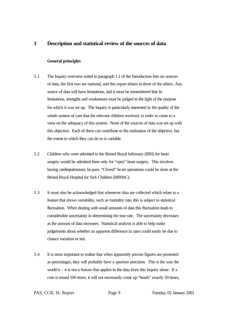# **3 Description and statistical review of the sources of data**

#### **General principles**

- 3.1 The Inquiry overview noted in paragraph 1.1 of the Introduction lists six sources of data; the first two are national, and this report relates to three of the others. Any source of data will have limitations, and it must be remembered that its limitations, strengths and weaknesses must be judged in the light of the purpose for which it was set up. The Inquiry is particularly interested in the quality of the whole system of care that the relevant children received, in order to come to a view on the adequacy of this system. None of the sources of data was set up with this objective. Each of them can contribute to the realisation of the objective, but the extent to which they can do so is variable.
- 3.2 Children who were admitted to the Bristol Royal Infirmary (BRI) for heart surgery would be admitted there only for "open" heart surgery. This involves having cardiopulmonary by-pass. "Closed" heart operations could be done at the Bristol Royal Hospital for Sick Children (BRHSC).
- 3.3 It must also be acknowledged that whenever data are collected which relate to a feature that shows variability, such as mortality rate, this is subject to statistical fluctuation. When dealing with small amounts of data this fluctuation leads to considerable uncertainty in determining the true rate. The uncertainty decreases as the amount of data increases. Statistical analysis is able to help make judgements about whether an apparent difference in rates could easily be due to chance variation or not.
- 3.4 It is most important to realise that when apparently precise figures are presented as percentages, they will probably have a spurious precision. This is the way the world is – it is not a feature that applies to the data from this Inquiry alone. If a coin is tossed 100 times, it will not necessarily come up "heads" exactly 50 times,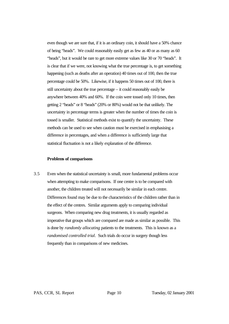even though we are sure that, if it is an ordinary coin, it should have a 50% chance of being "heads". We could reasonably easily get as few as 40 or as many as 60 "heads", but it would be rare to get more extreme values like 30 or 70 "heads". It is clear that if we were, not knowing what the true percentage is, to get something happening (such as deaths after an operation) 40 times out of 100, then the true percentage could be 50%. Likewise, if it happens 50 times out of 100, there is still uncertainty about the true percentage – it could reasonably easily be anywhere between 40% and 60%. If the coin were tossed only 10 times, then getting 2 "heads" or 8 "heads" (20% or 80%) would not be that unlikely. The uncertainty in percentage terms is greater when the number of times the coin is tossed is smaller. Statistical methods exist to quantify the uncertainty. These methods can be used to see when caution must be exercised in emphasising a difference in percentages, and when a difference is sufficiently large that statistical fluctuation is not a likely explanation of the difference.

#### **Problems of comparisons**

3.5 Even when the statistical uncertainty is small, more fundamental problems occur when attempting to make comparisons. If one centre is to be compared with another, the children treated will not necessarily be similar in each centre. Differences found may be due to the characteristics of the children rather than in the effect of the centres. Similar arguments apply to comparing individual surgeons. When comparing new drug treatments, it is usually regarded as imperative that groups which are compared are made as similar as possible. This is done by *randomly allocating* patients to the treatments. This is known as a *randomised controlled trial*. Such trials do occur in surgery though less frequently than in comparisons of new medicines.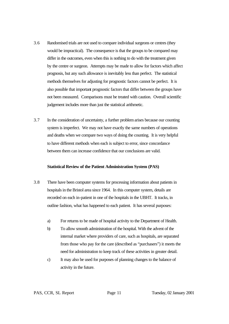- 3.6 Randomised trials are not used to compare individual surgeons or centres (they would be impractical). The consequence is that the groups to be compared may differ in the outcomes, even when this is nothing to do with the treatment given by the centre or surgeon. Attempts may be made to allow for factors which affect prognosis, but any such allowance is inevitably less than perfect. The statistical methods themselves for adjusting for prognostic factors cannot be perfect. It is also possible that important prognostic factors that differ between the groups have not been measured. Comparisons must be treated with caution. Overall scientific judgement includes more than just the statistical arithmetic.
- 3.7 In the consideration of uncertainty, a further problem arises because our counting system is imperfect. We may not have exactly the same numbers of operations and deaths when we compare two ways of doing the counting. It is very helpful to have different methods when each is subject to error, since concordance between them can increase confidence that our conclusions are valid.

#### **Statistical Review of the Patient Administration System (PAS)**

- 3.8 There have been computer systems for processing information about patients in hospitals in the Bristol area since 1964. In this computer system, details are recorded on each in-patient in one of the hospitals in the UBHT. It tracks, in outline fashion, what has happened to each patient. It has several purposes:
	- a) For returns to be made of hospital activity to the Department of Health.
	- b) To allow smooth administration of the hospital. With the advent of the internal market where providers of care, such as hospitals, are separated from those who pay for the care (described as "purchasers") it meets the need for administration to keep track of these activities in greater detail.
	- c) It may also be used for purposes of planning changes to the balance of activity in the future.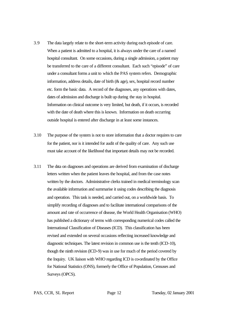- 3.9 The data largely relate to the short-term activity during each episode of care. When a patient is admitted to a hospital, it is always under the care of a named hospital consultant. On some occasions, during a single admission, a patient may be transferred to the care of a different consultant. Each such "episode" of care under a consultant forms a unit to which the PAS system refers. Demographic information, address details, date of birth (& age), sex, hospital record number etc. form the basic data. A record of the diagnoses, any operations with dates, dates of admission and discharge is built up during the stay in hospital. Information on clinical outcome is very limited, but death, if it occurs, is recorded with the date of death where this is known. Information on death occurring outside hospital is entered after discharge in at least some instances.
- 3.10 The purpose of the system is not to store information that a doctor requires to care for the patient, nor is it intended for audit of the quality of care. Any such use must take account of the likelihood that important details may not be recorded.
- 3.11 The data on diagnoses and operations are derived from examination of discharge letters written when the patient leaves the hospital, and from the case notes written by the doctors. Administrative clerks trained in medical terminology scan the available information and summarise it using codes describing the diagnosis and operation. This task is needed, and carried out, on a worldwide basis. To simplify recording of diagnoses and to facilitate international comparisons of the amount and rate of occurrence of disease, the World Health Organisation (WHO) has published a dictionary of terms with corresponding numerical codes called the International Classification of Diseases (ICD). This classification has been revised and extended on several occasions reflecting increased knowledge and diagnostic techniques. The latest revision in common use is the tenth (ICD-10), though the ninth revision (ICD-9) was in use for much of the period covered by the Inquiry. UK liaison with WHO regarding ICD is co-ordinated by the Office for National Statistics (ONS), formerly the Office of Population, Censuses and Surveys (OPCS).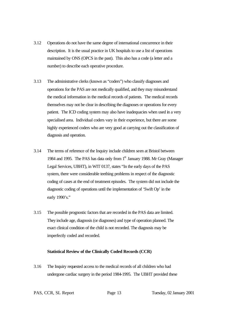- 3.12 Operations do not have the same degree of international concurrence in their description. It is the usual practice in UK hospitals to use a list of operations maintained by ONS (OPCS in the past). This also has a code (a letter and a number) to describe each operative procedure.
- 3.13 The administrative clerks (known as "coders") who classify diagnoses and operations for the PAS are not medically qualified, and they may misunderstand the medical information in the medical records of patients. The medical records themselves may not be clear in describing the diagnoses or operations for every patient. The ICD coding system may also have inadequacies when used in a very specialised area. Individual coders vary in their experience, but there are some highly experienced coders who are very good at carrying out the classification of diagnosis and operation.
- 3.14 The terms of reference of the Inquiry include children seen at Bristol between 1984 and 1995. The PAS has data only from 1<sup>st</sup> January 1988. Mr Gray (Manager) Legal Services, UBHT), in WIT 0137, states "In the early days of the PAS system, there were considerable teething problems in respect of the diagnostic coding of cases at the end of treatment episodes. The system did not include the diagnostic coding of operations until the implementation of 'Swift Op' in the early 1990's."
- 3.15 The possible prognostic factors that are recorded in the PAS data are limited. They include age, diagnosis (or diagnoses) and type of operation planned. The exact clinical condition of the child is not recorded. The diagnosis may be imperfectly coded and recorded.

#### **Statistical Review of the Clinically Coded Records (CCR)**

3.16 The Inquiry requested access to the medical records of all children who had undergone cardiac surgery in the period 1984-1995. The UBHT provided these

PAS, CCR, SL Report Page 13 Tuesday, 02 January 2001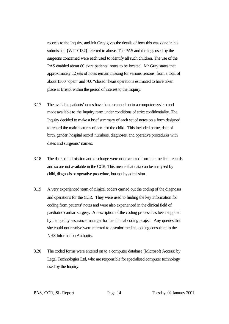records to the Inquiry, and Mr Gray gives the details of how this was done in his submission {WIT 0137} referred to above. The PAS and the logs used by the surgeons concerned were each used to identify all such children. The use of the PAS enabled about 80 extra patients' notes to be located. Mr Gray states that approximately 12 sets of notes remain missing for various reasons, from a total of about 1300 "open" and 700 "closed" heart operations estimated to have taken place at Bristol within the period of interest to the Inquiry.

- 3.17 The available patients' notes have been scanned on to a computer system and made available to the Inquiry team under conditions of strict confidentiality. The Inquiry decided to make a brief summary of each set of notes on a form designed to record the main features of care for the child. This included name, date of birth, gender, hospital record numbers, diagnoses, and operative procedures with dates and surgeons' names.
- 3.18 The dates of admission and discharge were not extracted from the medical records and so are not available in the CCR. This means that data can be analysed by child, diagnosis or operative procedure, but not by admission.
- 3.19 A very experienced team of clinical coders carried out the coding of the diagnoses and operations for the CCR. They were used to finding the key information for coding from patients' notes and were also experienced in the clinical field of paediatric cardiac surgery. A description of the coding process has been supplied by the quality assurance manager for the clinical coding project. Any queries that she could not resolve were referred to a senior medical coding consultant in the NHS Information Authority.
- 3.20 The coded forms were entered on to a computer database (Microsoft Access) by Legal Technologies Ltd, who are responsible for specialised computer technology used by the Inquiry.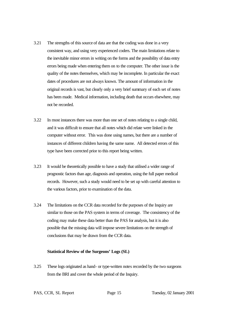- 3.21 The strengths of this source of data are that the coding was done in a very consistent way, and using very experienced coders. The main limitations relate to the inevitable minor errors in writing on the forms and the possibility of data entry errors being made when entering them on to the computer. The other issue is the quality of the notes themselves, which may be incomplete. In particular the exact dates of procedures are not always known. The amount of information in the original records is vast, but clearly only a very brief summary of each set of notes has been made. Medical information, including death that occurs elsewhere, may not be recorded.
- 3.22 In most instances there was more than one set of notes relating to a single child, and it was difficult to ensure that all notes which did relate were linked in the computer without error. This was done using names, but there are a number of instances of different children having the same name. All detected errors of this type have been corrected prior to this report being written.
- 3.23 It would be theoretically possible to have a study that utilised a wider range of prognostic factors than age, diagnosis and operation, using the full paper medical records. However, such a study would need to be set up with careful attention to the various factors, prior to examination of the data.
- 3.24 The limitations on the CCR data recorded for the purposes of the Inquiry are similar to those on the PAS system in terms of coverage. The consistency of the coding may make these data better than the PAS for analysis, but it is also possible that the missing data will impose severe limitations on the strength of conclusions that may be drawn from the CCR data.

#### **Statistical Review of the Surgeons' Logs (SL)**

3.25 These logs originated as hand- or type-written notes recorded by the two surgeons from the BRI and cover the whole period of the Inquiry.

PAS, CCR, SL Report Page 15 Tuesday, 02 January 2001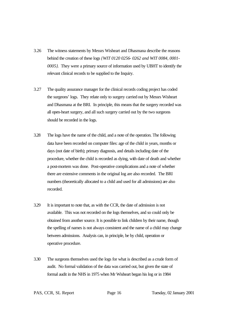- 3.26 The witness statements by Messrs Wisheart and Dhasmana describe the reasons behind the creation of these logs *{WIT 0120 0256- 0262 and WIT 0084, 0001- 0005}*. They were a primary source of information used by UBHT to identify the relevant clinical records to be supplied to the Inquiry.
- 3.27 The quality assurance manager for the clinical records coding project has coded the surgeons' logs. They relate only to surgery carried out by Messrs Wisheart and Dhasmana at the BRI. In principle, this means that the surgery recorded was all open-heart surgery, and all such surgery carried out by the two surgeons should be recorded in the logs.
- 3.28 The logs have the name of the child, and a note of the operation. The following data have been recorded on computer files: age of the child in years, months or days (not date of birth); primary diagnosis, and details including date of the procedure, whether the child is recorded as dying, with date of death and whether a post-mortem was done. Post-operative complications and a note of whether there are extensive comments in the original log are also recorded. The BRI numbers (theoretically allocated to a child and used for all admissions) are also recorded.
- 3.29 It is important to note that, as with the CCR, the date of admission is not available. This was not recorded on the logs themselves, and so could only be obtained from another source. It is possible to link children by their name, though the spelling of names is not always consistent and the name of a child may change between admissions. Analysis can, in principle, be by child, operation or operative procedure.
- 3.30 The surgeons themselves used the logs for what is described as a crude form of audit. No formal validation of the data was carried out, but given the state of formal audit in the NHS in 1975 when Mr Wisheart began his log or in 1984

PAS, CCR, SL Report Page 16 Tuesday, 02 January 2001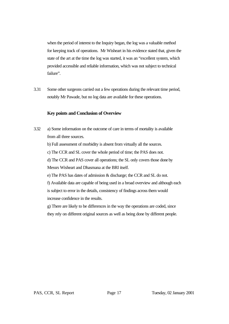when the period of interest to the Inquiry began, the log was a valuable method for keeping track of operations. Mr Wisheart in his evidence stated that, given the state of the art at the time the log was started, it was an "excellent system, which provided accessible and reliable information, which was not subject to technical failure".

3.31 Some other surgeons carried out a few operations during the relevant time period, notably Mr Pawade, but no log data are available for these operations.

#### **Key points and Conclusion of Overview**

3.32 a) Some information on the outcome of care in terms of mortality is available from all three sources.

b) Full assessment of morbidity is absent from virtually all the sources.

c) The CCR and SL cover the whole period of time; the PAS does not.

d) The CCR and PAS cover all operations; the SL only covers those done by Messrs Wisheart and Dhasmana at the BRI itself.

e) The PAS has dates of admission & discharge; the CCR and SL do not.

f) Available data are capable of being used in a broad overview and although each is subject to error in the details, consistency of findings across them would increase confidence in the results.

g) There are likely to be differences in the way the operations are coded, since they rely on different original sources as well as being done by different people.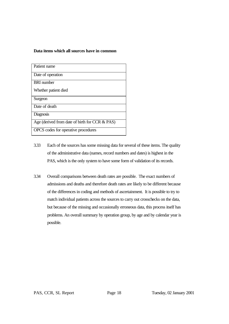#### **Data items which all sources have in common**

| Patient name                                      |
|---------------------------------------------------|
| Date of operation                                 |
| <b>BRI</b> number                                 |
| Whether patient died                              |
| Surgeon                                           |
| Date of death                                     |
| Diagnosis                                         |
| Age (derived from date of birth for CCR $& PAS$ ) |
| OPCS codes for operative procedures               |

- 3.33 Each of the sources has some missing data for several of these items. The quality of the administrative data (names, record numbers and dates) is highest in the PAS, which is the only system to have some form of validation of its records.
- 3.34 Overall comparisons between death rates are possible. The exact numbers of admissions and deaths and therefore death rates are likely to be different because of the differences in coding and methods of ascertainment. It is possible to try to match individual patients across the sources to carry out crosschecks on the data, but because of the missing and occasionally erroneous data, this process itself has problems. An overall summary by operation group, by age and by calendar year is possible.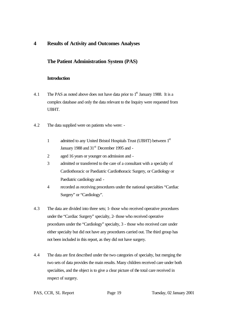# **4 Results of Activity and Outcomes Analyses**

# **The Patient Administration System (PAS)**

## **Introduction**

- 4.1 The PAS as noted above does not have data prior to  $1<sup>st</sup>$  January 1988. It is a complex database and only the data relevant to the Inquiry were requested from UBHT.
- 4.2 The data supplied were on patients who were:
	- 1 admitted to any United Bristol Hospitals Trust (UBHT) between 1<sup>st</sup> January 1988 and 31<sup>st</sup> December 1995 and -
	- 2 aged 16 years or younger on admission and -
	- 3 admitted or transferred to the care of a consultant with a specialty of Cardiothoracic or Paediatric Cardiothoracic Surgery, or Cardiology or Paediatric cardiology and -
	- 4 recorded as receiving procedures under the national specialties "Cardiac Surgery" or "Cardiology".
- 4.3 The data are divided into three sets; 1- those who received operative procedures under the "Cardiac Surgery" specialty, 2- those who received operative procedures under the "Cardiology" specialty, 3 - those who received care under either specialty but did not have any procedures carried out. The third group has not been included in this report, as they did not have surgery.
- 4.4 The data are first described under the two categories of specialty, but merging the two sets of data provides the main results. Many children received care under both specialties, and the object is to give a clear picture of the total care received in respect of surgery.
- PAS, CCR, SL Report Page 19 Tuesday, 02 January 2001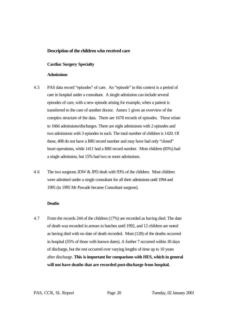## **Description of the children who received care**

#### **Cardiac Surgery Specialty**

#### **Admissions**

- 4.5 PAS data record "episodes" of care. An "episode" in this context is a period of care in hospital under a consultant. A single admission can include several episodes of care, with a new episode arising for example, when a patient is transferred to the care of another doctor. Annex 1 gives an overview of the complex structure of the data. There are 1678 records of episodes. These relate to 1666 admissions/discharges. There are eight admissions with 2 episodes and two admissions with 3 episodes in each. The total number of children is 1420. Of these, 408 do not have a BRI record number and may have had only "closed" heart operations, while 1411 had a BRI record number. Most children (85%) had a single admission, but 15% had two or more admissions.
- 4.6 The two surgeons JDW & JPD dealt with 93% of the children. Most children were admitted under a single consultant for all their admissions until 1994 and 1995 (in 1995 Mr Pawade became Consultant surgeon).

#### **Deaths**

4.7 From the records 244 of the children (17%) are recorded as having died. The date of death was recorded in arrears in batches until 1992, and 12 children are noted as having died with no date of death recorded. Most (128) of the deaths occurred in hospital (55% of those with known dates). A further 7 occurred within 30 days of discharge, but the rest occurred over varying lengths of time up to 10 years after discharge. **This is important for comparison with HES, which in general will not have deaths that are recorded post-discharge from hospital.**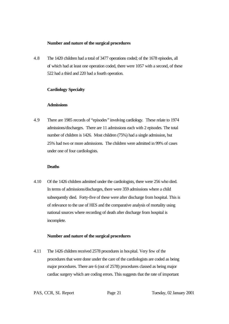#### **Number and nature of the surgical procedures**

4.8 The 1420 children had a total of 3477 operations coded; of the 1678 episodes, all of which had at least one operation coded, there were 1057 with a second, of these 522 had a third and 220 had a fourth operation.

#### **Cardiology Specialty**

#### **Admissions**

4.9 There are 1985 records of "episodes*"* involving cardiology*.* These relate to 1974 admissions/discharges. There are 11 admissions each with 2 episodes. The total number of children is 1426. Most children (75%) had a single admission, but 25% had two or more admissions. The children were admitted in 99% of cases under one of four cardiologists.

#### **Deaths**

4.10 Of the 1426 children admitted under the cardiologists, there were 256 who died. In terms of admissions/discharges, there were 359 admissions where a child subsequently died. Forty-five of these were after discharge from hospital. This is of relevance to the use of HES and the comparative analysis of mortality using national sources where recording of death after discharge from hospital is incomplete.

#### **Number and nature of the surgical procedures**

4.11 The 1426 children received 2578 procedures in hospital. Very few of the procedures that were done under the care of the cardiologists are coded as being major procedures. There are 6 (out of 2578) procedures classed as being major cardiac surgery which are coding errors. This suggests that the rate of important

PAS, CCR, SL Report Page 21 Tuesday, 02 January 2001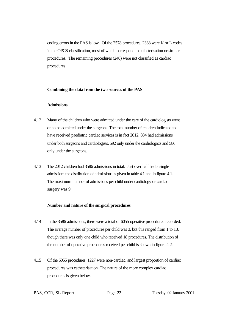coding errors in the PAS is low. Of the 2578 procedures, 2338 were K or L codes in the OPCS classification, most of which correspond to catheterisation or similar procedures. The remaining procedures (240) were not classified as cardiac procedures.

#### **Combining the data from the two sources of the PAS**

#### **Admissions**

- 4.12 Many of the children who were admitted under the care of the cardiologists went on to be admitted under the surgeons. The total number of children indicated to have received paediatric cardiac services is in fact 2012; 834 had admissions under both surgeons and cardiologists, 592 only under the cardiologists and 586 only under the surgeons.
- 4.13 The 2012 children had 3586 admissions in total. Just over half had a single admission; the distribution of admissions is given in table 4.1 and in figure 4.1. The maximum number of admissions per child under cardiology or cardiac surgery was 9.

#### **Number and nature of the surgical procedures**

- 4.14 In the 3586 admissions, there were a total of 6055 operative procedures recorded. The average number of procedures per child was 3, but this ranged from 1 to 18, though there was only one child who received 18 procedures. The distribution of the number of operative procedures received per child is shown in figure 4.2.
- 4.15 Of the 6055 procedures, 1227 were non-cardiac, and largest proportion of cardiac procedures was catheterisation. The nature of the more complex cardiac procedures is given below.

PAS, CCR, SL Report Page 22 Tuesday, 02 January 2001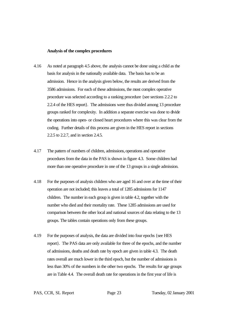#### **Analysis of the complex procedures**

- 4.16 As noted at paragraph 4.5 above, the analysis cannot be done using a child as the basis for analysis in the nationally available data. The basis has to be an admission. Hence in the analysis given below, the results are derived from the 3586 admissions. For each of these admissions, the most complex operative procedure was selected according to a ranking procedure {see sections 2.2.2 to 2.2.4 of the HES report}. The admissions were thus divided among 13 procedure groups ranked for complexity. In addition a separate exercise was done to divide the operations into open- or closed heart procedures where this was clear from the coding. Further details of this process are given in the HES report in sections 2.2.5 to 2.2.7, and in section 2.4.5.
- 4.17 The pattern of numbers of children, admissions, operations and operative procedures from the data in the PAS is shown in figure 4.3. Some children had more than one operative procedure in one of the 13 groups in a single admission.
- 4.18 For the purposes of analysis children who are aged 16 and over at the time of their operation are not included; this leaves a total of 1285 admissions for 1147 children. The number in each group is given in table 4.2, together with the number who died and their mortality rate. These 1285 admissions are used for comparison between the other local and national sources of data relating to the 13 groups. The tables contain operations only from these groups.
- 4.19 For the purposes of analysis, the data are divided into four epochs {see HES report}. The PAS data are only available for three of the epochs, and the number of admissions, deaths and death rate by epoch are given in table 4.3. The death rates overall are much lower in the third epoch, but the number of admissions is less than 30% of the numbers in the other two epochs. The results for age groups are in Table 4.4. The overall death rate for operations in the first year of life is

PAS, CCR, SL Report Page 23 Tuesday, 02 January 2001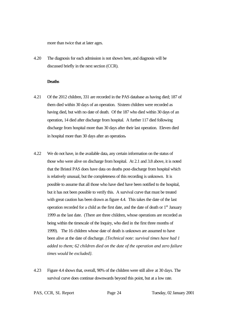more than twice that at later ages.

4.20 The diagnosis for each admission is not shown here, and diagnosis will be discussed briefly in the next section (CCR).

#### **Deaths**

- 4.21 Of the 2012 children, 331 are recorded in the PAS database as having died; 187 of them died within 30 days of an operation. Sixteen children were recorded as having died, but with no date of death. Of the 187 who died within 30 days of an operation, 14 died after discharge from hospital. A further 117 died following discharge from hospital more than 30 days after their last operation. Eleven died in hospital more than 30 days after an operation**.**
- 4.22 We do not have, in the available data, any certain information on the status of those who were alive on discharge from hospital. At 2.1 and 3.8 above, it is noted that the Bristol PAS does have data on deaths post-discharge from hospital which is relatively unusual, but the completeness of this recording is unknown. It is possible to assume that all those who have died have been notified to the hospital, but it has not been possible to verify this. A survival curve that must be treated with great caution has been drawn as figure 4.4. This takes the date of the last operation recorded for a child as the first date, and the date of death or  $1<sup>st</sup>$  January 1999 as the last date. (There are three children, whose operations are recorded as being within the timescale of the Inquiry, who died in the first three months of 1999). The 16 children whose date of death is unknown are assumed to have been alive at the date of discharge. *{Technical note: survival times have had 1 added to them; 62 children died on the date of the operation and zero failure times would be excluded}.*
- 4.23 Figure 4.4 shows that, overall, 90% of the children were still alive at 30 days. The survival curve does continue downwards beyond this point, but at a low rate.

PAS, CCR, SL Report Page 24 Tuesday, 02 January 2001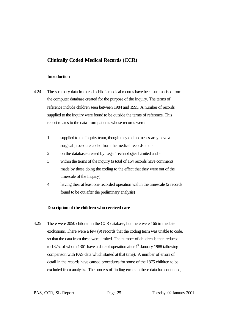# **Clinically Coded Medical Records (CCR)**

#### **Introduction**

- 4.24 The summary data from each child's medical records have been summarised from the computer database created for the purpose of the Inquiry. The terms of reference include children seen between 1984 and 1995. A number of records supplied to the Inquiry were found to be outside the terms of reference. This report relates to the data from patients whose records were: -
	- 1 supplied to the Inquiry team, though they did not necessarily have a surgical procedure coded from the medical records and -
	- 2 on the database created by Legal Technologies Limited and -
	- 3 within the terms of the inquiry (a total of 164 records have comments made by those doing the coding to the effect that they were out of the timescale of the Inquiry)
	- 4 having their at least one recorded operation within the timescale (2 records found to be out after the preliminary analysis)

## **Description of the children who received care**

4.25 There were 2050 children in the CCR database, but there were 166 immediate exclusions. There were a few (9) records that the coding team was unable to code, so that the data from these were limited. The number of children is then reduced to 1875, of whom 1361 have a date of operation after  $1<sup>st</sup>$  January 1988 (allowing comparison with PAS data which started at that time). A number of errors of detail in the records have caused procedures for some of the 1875 children to be excluded from analysis. The process of finding errors in these data has continued,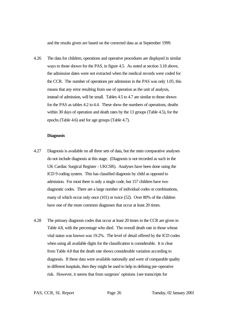and the results given are based on the corrected data as at September 1999.

4.26 The data for children, operations and operative procedures are displayed in similar ways to those shown for the PAS, in figure 4.5. As noted at section 3.18 above, the admission dates were not extracted when the medical records were coded for the CCR. The number of operations per admission in the PAS was only 1.05; this means that any error resulting from use of operation as the unit of analysis, instead of admission, will be small. Tables 4.5 to 4.7 are similar to those shown for the PAS as tables 4.2 to 4.4. These show the numbers of operations, deaths within 30 days of operation and death rates by the 13 groups (Table 4.5), for the epochs (Table 4.6) and for age groups (Table 4.7).

#### **Diagnosis**

- 4.27 Diagnosis is available on all three sets of data, but the main comparative analyses do not include diagnosis at this stage. (Diagnosis is not recorded as such in the UK Cardiac Surgical Register - UKCSR). Analyses have been done using the ICD 9 coding system. This has classified diagnosis by child as opposed to admission. For most there is only a single code, but 157 children have two diagnostic codes. There are a large number of individual codes or combinations, many of which occur only once (101) or twice (52). Over 80% of the children have one of the more common diagnoses that occur at least 20 times.
- 4.28 The primary diagnosis codes that occur at least 20 times in the CCR are given in Table 4.8, with the percentage who died. The overall death rate in those whose vital status was known was 19.2%. The level of detail offered by the ICD codes when using all available digits for the classification is considerable. It is clear from Table 4.8 that the death rate shows considerable variation according to diagnosis. If these data were available nationally and were of comparable quality in different hospitals, then they might be used to help in defining pre-operative risk. However, it seems that from surgeons' opinions {see transcripts for

PAS, CCR, SL Report Page 26 Tuesday, 02 January 2001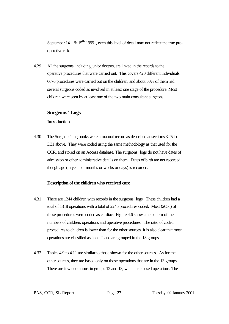September  $14<sup>th</sup> \& 15<sup>th</sup> 1999$ , even this level of detail may not reflect the true preoperative risk.

4.29 All the surgeons, including junior doctors, are linked in the records to the operative procedures that were carried out. This covers 420 different individuals. 6676 procedures were carried out on the children, and about 50% of them had several surgeons coded as involved in at least one stage of the procedure. Most children were seen by at least one of the two main consultant surgeons.

# **Surgeons' Logs**

# **Introduction**

4.30 The Surgeons' log books were a manual record as described at sections 3.25 to 3.31 above. They were coded using the same methodology as that used for the CCR, and stored on an Access database. The surgeons' logs do not have dates of admission or other administrative details on them. Dates of birth are not recorded, though age (in years or months or weeks or days) is recorded.

## **Description of the children who received care**

- 4.31 There are 1244 children with records in the surgeons' logs. These children had a total of 1318 operations with a total of 2246 procedures coded. Most (2056) of these procedures were coded as cardiac. Figure 4.6 shows the pattern of the numbers of children, operations and operative procedures. The ratio of coded procedures to children is lower than for the other sources. It is also clear that most operations are classified as "open" and are grouped in the 13 groups.
- 4.32 Tables 4.9 to 4.11 are similar to those shown for the other sources. As for the other sources, they are based only on those operations that are in the 13 groups. There are few operations in groups 12 and 13, which are closed operations. The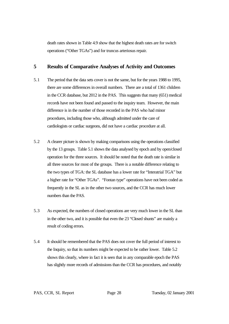death rates shown in Table 4.9 show that the highest death rates are for switch operations ("Other TGAs") and for truncus arteriosus repair.

# **5 Results of Comparative Analyses of Activity and Outcomes**

- 5.1 The period that the data sets cover is not the same, but for the years 1988 to 1995, there are some differences in overall numbers. There are a total of 1361 children in the CCR database, but 2012 in the PAS. This suggests that many (651) medical records have not been found and passed to the inquiry team. However, the main difference is in the number of those recorded in the PAS who had minor procedures, including those who, although admitted under the care of cardiologists or cardiac surgeons, did not have a cardiac procedure at all.
- 5.2 A clearer picture is shown by making comparisons using the operations classified by the 13 groups. Table 5.1 shows the data analysed by epoch and by open/closed operation for the three sources. It should be noted that the death rate is similar in all three sources for most of the groups. There is a notable difference relating to the two types of TGA: the SL database has a lower rate for "Interatrial TGA" but a higher rate for "Other TGAs". "Fontan type" operations have not been coded as frequently in the SL as in the other two sources, and the CCR has much lower numbers than the PAS.
- 5.3 As expected, the numbers of closed operations are very much lower in the SL than in the other two, and it is possible that even the 23 "Closed shunts" are mainly a result of coding errors.
- 5.4 It should be remembered that the PAS does not cover the full period of interest to the Inquiry, so that its numbers might be expected to be rather lower. Table 5.2 shows this clearly, where in fact it is seen that in any comparable epoch the PAS has slightly more records of admissions than the CCR has procedures, and notably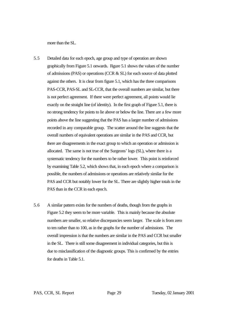more than the SL.

- 5.5 Detailed data for each epoch, age group and type of operation are shown graphically from Figure 5.1 onwards. Figure 5.1 shows the values of the number of admissions (PAS) or operations (CCR & SL) for each source of data plotted against the others. It is clear from figure 5.1, which has the three comparisons PAS-CCR, PAS-SL and SL-CCR, that the overall numbers are similar, but there is not perfect agreement. If there were perfect agreement, all points would lie exactly on the straight line (of identity). In the first graph of Figure 5.1, there is no strong tendency for points to lie above or below the line. There are a few more points above the line suggesting that the PAS has a larger number of admissions recorded in any comparable group. The scatter around the line suggests that the overall numbers of equivalent operations are similar in the PAS and CCR, but there are disagreements in the exact group to which an operation or admission is allocated. The same is not true of the Surgeons' logs (SL), where there is a systematic tendency for the numbers to be rather lower. This point is reinforced by examining Table 5.2, which shows that, in each epoch where a comparison is possible, the numbers of admissions or operations are relatively similar for the PAS and CCR but notably lower for the SL. There are slightly higher totals in the PAS than in the CCR in each epoch.
- 5.6 A similar pattern exists for the numbers of deaths, though from the graphs in Figure 5.2 they seem to be more variable. This is mainly because the absolute numbers are smaller, so relative discrepancies seem larger. The scale is from zero to ten rather than to 100, as in the graphs for the number of admissions. The overall impression is that the numbers are similar in the PAS and CCR but smaller in the SL. There is still some disagreement in individual categories, but this is due to misclassification of the diagnostic groups. This is confirmed by the entries for deaths in Table 5.1.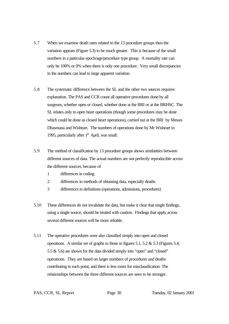- 5.7 When we examine death rates related to the 13 procedure groups then the variation appears (Figure 5.3) to be much greater. This is because of the small numbers in a particular epoch/age/procedure type group. A mortality rate can only be 100% or 0% when there is only one procedure. Very small discrepancies in the numbers can lead to large apparent variation.
- 5.8 The systematic difference between the SL and the other two sources requires explanation. The PAS and CCR count all operative procedures done by all surgeons, whether open or closed, whether done at the BRI or at the BRHSC. The SL relates only to open heart operations (though some procedures may be done which could be done as closed heart operations), carried out at the BRI by Messrs Dhasmana and Wisheart. The numbers of operations done by Mr Wisheart in 1995, particularly after 1st April, was small.
- 5.9 The method of classification by 13 procedure groups shows similarities between different sources of data. The actual numbers are not perfectly reproducible across the different sources, because of
	- 1 differences in coding
	- 2 differences in methods of obtaining data, especially deaths
	- 3 differences in definitions (operations, admissions, procedures)
- 5.10 These differences do not invalidate the data, but make it clear that single findings, using a single source, should be treated with caution. Findings that apply across several different sources will be more reliable.
- 5.11 The operative procedures were also classified simply into open and closed operations. A similar set of graphs to those in figures 5.1, 5.2 & 5.3 (Figures 5.4, 5.5 & 5.6) are shown for the data divided simply into "open" and "closed" operations. They are based on larger numbers of procedures and deaths contributing to each point, and there is less room for misclassification. The relationships between the three different sources are seen to be stronger.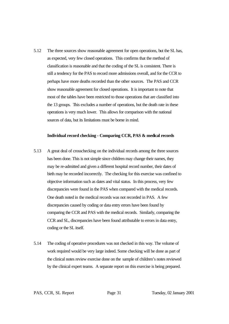5.12 The three sources show reasonable agreement for open operations, but the SL has, as expected, very few closed operations. This confirms that the method of classification is reasonable and that the coding of the SL is consistent. There is still a tendency for the PAS to record more admissions overall, and for the CCR to perhaps have more deaths recorded than the other sources. The PAS and CCR show reasonable agreement for closed operations. It is important to note that most of the tables have been restricted to those operations that are classified into the 13 groups. This excludes a number of operations, but the death rate in these operations is very much lower. This allows for comparison with the national sources of data, but its limitations must be borne in mind.

#### **Individual record checking - Comparing CCR, PAS & medical records**

- 5.13 A great deal of crosschecking on the individual records among the three sources has been done. This is not simple since children may change their names, they may be re-admitted and given a different hospital record number, their dates of birth may be recorded incorrectly. The checking for this exercise was confined to objective information such as dates and vital status. In this process, very few discrepancies were found in the PAS when compared with the medical records. One death noted in the medical records was not recorded in PAS. A few discrepancies caused by coding or data entry errors have been found by comparing the CCR and PAS with the medical records. Similarly, comparing the CCR and SL, discrepancies have been found attributable to errors in data entry, coding or the SL itself.
- 5.14 The coding of operative procedures was not checked in this way. The volume of work required would be very large indeed. Some checking will be done as part of the clinical notes review exercise done on the sample of children's notes reviewed by the clinical expert teams. A separate report on this exercise is being prepared.

PAS, CCR, SL Report Page 31 Tuesday, 02 January 2001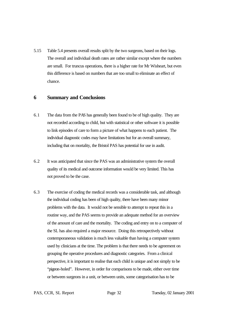5.15 Table 5.4 presents overall results split by the two surgeons, based on their logs. The overall and individual death rates are rather similar except where the numbers are small. For truncus operations, there is a higher rate for Mr Wisheart, but even this difference is based on numbers that are too small to eliminate an effect of chance.

## **6 Summary and Conclusions**

- 6.1 The data from the PAS has generally been found to be of high quality. They are not recorded according to child, but with statistical or other software it is possible to link episodes of care to form a picture of what happens to each patient. The individual diagnostic codes may have limitations but for an overall summary, including that on mortality, the Bristol PAS has potential for use in audit.
- 6.2 It was anticipated that since the PAS was an administrative system the overall quality of its medical and outcome information would be very limited. This has not proved to be the case.
- 6.3 The exercise of coding the medical records was a considerable task, and although the individual coding has been of high quality, there have been many minor problems with the data. It would not be sensible to attempt to repeat this in a routine way, and the PAS seems to provide an adequate method for an overview of the amount of care and the mortality. The coding and entry on to a computer of the SL has also required a major resource. Doing this retrospectively without contemporaneous validation is much less valuable than having a computer system used by clinicians at the time. The problem is that there needs to be agreement on grouping the operative procedures and diagnostic categories. From a clinical perspective, it is important to realise that each child is unique and not simply to be "pigeon-holed". However, in order for comparisons to be made, either over time or between surgeons in a unit, or between units, some categorisation has to be

PAS, CCR, SL Report Page 32 Tuesday, 02 January 2001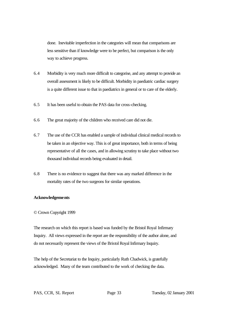done. Inevitable imperfection in the categories will mean that comparisons are less sensitive than if knowledge were to be perfect, but comparison is the only way to achieve progress.

- 6.4 Morbidity is very much more difficult to categorise, and any attempt to provide an overall assessment is likely to be difficult. Morbidity in paediatric cardiac surgery is a quite different issue to that in paediatrics in general or to care of the elderly.
- 6.5 It has been useful to obtain the PAS data for cross-checking.
- 6.6 The great majority of the children who received care did not die.
- 6.7 The use of the CCR has enabled a sample of individual clinical medical records to be taken in an objective way. This is of great importance, both in terms of being representative of all the cases, and in allowing scrutiny to take place without two thousand individual records being evaluated in detail.
- 6.8 There is no evidence to suggest that there was any marked difference in the mortality rates of the two surgeons for similar operations.

#### **Acknowledgements**

#### © Crown Copyright 1999

The research on which this report is based was funded by the Bristol Royal Infirmary Inquiry. All views expressed in the report are the responsibility of the author alone, and do not necessarily represent the views of the Bristol Royal Infirmary Inquiry.

The help of the Secretariat to the Inquiry, particularly Ruth Chadwick, is gratefully acknowledged. Many of the team contributed to the work of checking the data.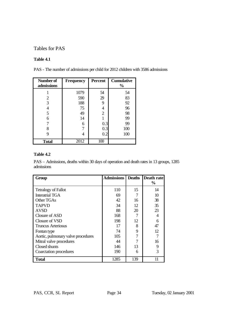# Tables for PAS

# **Table 4.1**

| Number of<br>admissions | <b>Frequency</b> | Percent        | <b>Cumulative</b><br>$\frac{0}{0}$ |
|-------------------------|------------------|----------------|------------------------------------|
|                         | 1079             | 54             | 54                                 |
| 2                       | 590              | 29             | 83                                 |
| 3                       | 188              | 9              | 92                                 |
|                         | 75               | 4              | 96                                 |
|                         | 49               | $\overline{2}$ | 98                                 |
| 6                       | 14               |                | 99                                 |
|                         | 6                | 0.3            | 99                                 |
|                         |                  | 0.3            | 100                                |
| 9                       |                  | 0.2            | 100                                |
| <b>Total</b>            | 2012             | 100            |                                    |

## **Table 4.2**

PAS – Admissions, deaths within 30 days of operation and death rates in 13 groups, 1285 admissions

| Group                              | <b>Admissions</b> | <b>Deaths</b> | Death rate     |
|------------------------------------|-------------------|---------------|----------------|
|                                    |                   |               | $\frac{6}{10}$ |
| <b>Tetralogy of Fallot</b>         | 110               | 15            | 14             |
| <b>Interatrial TGA</b>             | 69                |               | 10             |
| Other TGAs                         | 42                | 16            | 38             |
| <b>TAPVD</b>                       | 34                | 12            | 35             |
| <b>AVSD</b>                        | 88                | 20            | 23             |
| Closure of ASD                     | 168               |               | 4              |
| Closure of VSD                     | 198               | 12            | 6              |
| Truncus Arteriosus                 | 17                | 8             | 47             |
| Fontan type                        | 74                | 9             | 12             |
| Aortic, pulmonary valve procedures | 105               |               | 7              |
| Mitral valve procedures            | 44                |               | 16             |
| Closed shunts                      | 146               | 13            | 9              |
| Coarctation procedures             | 190               | 6             | 3              |
| <b>Total</b>                       | 1285              | 139           | 11             |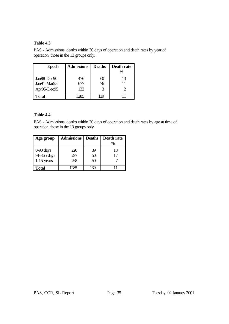PAS - Admissions, deaths within 30 days of operation and death rates by year of operation, those in the 13 groups only.

| <b>Epoch</b>                              | <b>Admissions</b> | <b>Deaths</b> | Death rate<br>$\frac{6}{9}$ |
|-------------------------------------------|-------------------|---------------|-----------------------------|
| Jan88-Dec90<br>Jan91-Mar95<br>Apr95-Dec95 | 476<br>677<br>132 | 60<br>76      | 13                          |
| <b>Total</b>                              | 1285              | ζι            |                             |

## **Table 4.4**

PAS - Admissions, deaths within 30 days of operation and death rates by age at time of operation, those in the 13 groups only

| Age group                                  | <b>Admissions</b> | <b>Deaths</b>  | Death rate<br>$\frac{6}{9}$ |
|--------------------------------------------|-------------------|----------------|-----------------------------|
| $0-90$ days<br>91-365 days<br>$1-15$ years | 220<br>297<br>768 | 39<br>50<br>50 | 18                          |
| Total                                      |                   | $\infty$       |                             |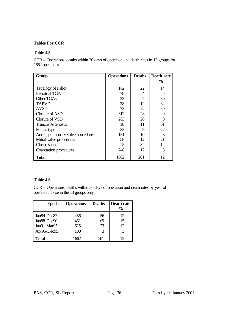## **Tables For CCR**

## **Table 4.5**

CCR – Operations, deaths within 30 days of operation and death rates in 13 groups for 1662 operations

| Group                              | <b>Operations</b> | <b>Deaths</b> | Death rate    |
|------------------------------------|-------------------|---------------|---------------|
|                                    |                   |               | $\frac{6}{9}$ |
| <b>Tetralogy of Fallot</b>         | 162               | 22            | 14            |
| <b>Interatrial TGA</b>             | 78                | 4             | 5             |
| Other TGAs                         | 23                |               | 30            |
| <b>TAPVD</b>                       | 38                | 12            | 32            |
| <b>AVSD</b>                        | 73                | 22            | 30            |
| Closure of ASD                     | 312               | 28            | 9             |
| Closure of VSD                     | 263               | 20            | 8             |
| Truncus Arteriosus                 | 18                | 11            | 61            |
| Fontan type                        | 33                | 9             | 27            |
| Aortic, pulmonary valve procedures | 131               | 10            | 8             |
| Mitral valve procedures            | 58                | 12            | 21            |
| Closed shunts                      | 225               | 32            | 14            |
| Coarctation procedures             | 248               | 12            | 5             |
| Total                              | 1662              | 201           | 12            |

# **Table 4.6**

CCR – Operations, deaths within 30 days of operation and death rates by year of operation, those in the 13 groups only

| <b>Epoch</b>                                             | <b>Operations</b>        | <b>Deaths</b>  | Death rate<br>$\frac{0}{0}$ |
|----------------------------------------------------------|--------------------------|----------------|-----------------------------|
| Jan84-Dec87<br>Jan88-Dec90<br>Jan91-Mar95<br>Apr95-Dec95 | 486<br>461<br>615<br>100 | 56<br>69<br>73 | 12<br>15<br>12              |
| <b>Total</b>                                             |                          | 201            | 12                          |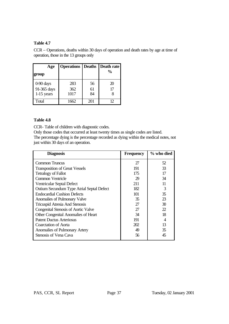CCR – Operations, deaths within 30 days of operation and death rates by age at time of operation, those in the 13 groups only

| Age                                      | <b>Operations</b> Deaths Death rate |                |               |
|------------------------------------------|-------------------------------------|----------------|---------------|
| group                                    |                                     |                | $\frac{6}{9}$ |
| 0-90 days<br>91-365 days<br>$1-15$ years | 283<br>362<br>1017                  | 56<br>61<br>84 | 20<br>17      |
| Total                                    | 1662                                | 201            | 17            |

# **Table 4.8**

CCR- Table of children with diagnostic codes.

Only those codes that occurred at least twenty times as single codes are listed.

The percentage dying is the percentage recorded as dying within the medical notes, not just within 30 days of an operation.

| <b>Diagnosis</b>                           | <b>Frequency</b> | % who died |
|--------------------------------------------|------------------|------------|
| <b>Common Truncus</b>                      | 27               | 52         |
| <b>Transposition of Great Vessels</b>      | 191              | 33         |
| <b>Tetralogy of Fallot</b>                 | 175              | 17         |
| Common Ventricle                           | 29               | 34         |
| Ventricular Septal Defect                  | 211              | 11         |
| Ostium Secundum Type Atrial Septal Defect  | 182              | 3          |
| <b>Endocardial Cushion Defects</b>         | 101              | 35         |
| Anomalies of Pulmonary Valve               | 35               | 23         |
| <b>Tricuspid Atresia And Stenosis</b>      | 27               | 30         |
| <b>Congenital Stenosis of Aortic Valve</b> | 27               | 22         |
| Other Congenital Anomalies of Heart        | 34               | 18         |
| <b>Patent Ductus Arteriosus</b>            | 191              |            |
| Coarctation of Aorta                       | 202              | 13         |
| Anomalies of Pulmonary Artery              | 49               | 35         |
| Stenosis of Vena Cava                      | 56               | 45         |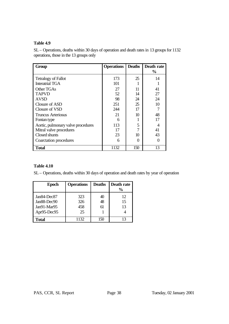SL – Operations, deaths within 30 days of operation and death rates in 13 groups for 1132 operations, those in the 13 groups only

| Group                              | <b>Operations</b> | <b>Deaths</b> | Death rate    |
|------------------------------------|-------------------|---------------|---------------|
|                                    |                   |               | $\frac{6}{9}$ |
| <b>Tetralogy of Fallot</b>         | 173               | 25            | 14            |
| <b>Interatrial TGA</b>             | 101               |               |               |
| Other TGAs                         | 27                | 11            | 41            |
| <b>TAPVD</b>                       | 52                | 14            | 27            |
| <b>AVSD</b>                        | 98                | 24            | 24            |
| Closure of ASD                     | 251               | 25            | 10            |
| Closure of VSD                     | 244               | 17            |               |
| <b>Truncus Arteriosus</b>          | 21                | 10            | 48            |
| Fontan type                        | 6                 |               | 17            |
| Aortic, pulmonary valve procedures | 113               | 5             |               |
| Mitral valve procedures            | 17                |               | 41            |
| Closed shunts                      | 23                | 10            | 43            |
| Coarctation procedures             | 6                 |               |               |
| <b>Total</b>                       | 1132              | 150           | 13            |

# **Table 4.10**

SL – Operations, deaths within 30 days of operation and death rates by year of operation

| <b>Epoch</b>                                               | <b>Operations</b>       | <b>Deaths</b>  | Death rate<br>$\frac{0}{0}$ |
|------------------------------------------------------------|-------------------------|----------------|-----------------------------|
| Jan84-Dec87<br>Jan88-Dec90<br>$Jan91-Mar95$<br>Apr95-Dec95 | 323<br>326<br>458<br>25 | 40<br>48<br>61 | 12<br>15<br>13              |
| <b>Total</b>                                               | 1132                    | 150            | 13                          |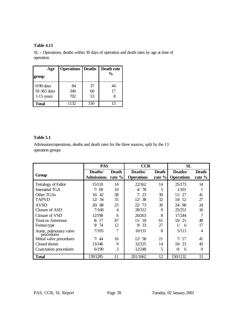SL – Operations, deaths within 30 days of operation and death rates by age at time of operation

| Age                                      | <b>Operations</b> Deaths |                | Death rate    |  |
|------------------------------------------|--------------------------|----------------|---------------|--|
| group                                    |                          |                | $\frac{0}{0}$ |  |
| 0-90 days<br>91-365 days<br>$1-15$ years | 84<br>346<br>702         | 37<br>60<br>53 | 44<br>17      |  |
| <b>Total</b>                             | 1132                     | 150            | 13            |  |

# **Table 5.1**

Admissions/operations, deaths and death rates for the three sources, split by the 13 operation groups

|                                       | <b>PAS</b>                    |                          | <b>CCR</b>                   |                           | SL                           |                        |
|---------------------------------------|-------------------------------|--------------------------|------------------------------|---------------------------|------------------------------|------------------------|
| Group                                 | Deaths/<br><b>Admissions</b>  | <b>Death</b><br>rate $%$ | Deaths/<br><b>Operations</b> | <b>Death</b><br>rate $\%$ | Deaths/<br><b>Operations</b> | <b>Death</b><br>rate % |
| <b>Tetralogy of Fallot</b>            | 15/110                        | 14                       | 22/162                       | 14                        | 25/173                       | 14                     |
| <b>Interatrial TGA</b>                | 7/69                          | 10                       | 78<br>4/                     | 5                         | 1/101                        |                        |
| Other TGAs                            | 42<br>16/                     | 38                       | 7/23                         | 30                        | 11/27                        | 41                     |
| <b>TAPVD</b>                          | 34<br>12/                     | 35                       | 38<br>12/                    | 32                        | 14/52                        | 27                     |
| <b>AVSD</b>                           | 88<br>20/                     | 23                       | 22/73                        | 30                        | 24/98                        | 24                     |
| Closure of ASD                        | 7/168                         | $\overline{4}$           | 28/312                       | 9                         | 25/251                       | 10                     |
| Closure of VSD                        | 12/198                        | 6                        | 20/263                       | 8                         | 17/244                       | 7                      |
| Truncus Arteriosus                    | $\mathsf{R}/\mathsf{R}$<br>17 | 47                       | 11/18                        | 61                        | 10/21                        | 48                     |
| Fontan type                           | 9/74                          | 12                       | 9/33                         | 27                        | 1/<br>6                      | 17                     |
| Aortic, pulmonary valve<br>procedures | 7/105                         | 7                        | 10/131                       | 8                         | 5/113                        | 4                      |
| Mitral valve procedures               | 7/44                          | 16                       | 12/58                        | 21                        | 7/17                         | 41                     |
| Closed shunts                         | 13/146                        | 9                        | 32/225                       | 14                        | 10/23                        | 43                     |
| Coarctation procedures                | 6/190                         | 3                        | 12/248                       | 5                         | $\Omega$<br>6                | $\Omega$               |
| <b>Total</b>                          | 139/1285                      | 11                       | 201/1662                     | 12                        | 150/1132                     | 13                     |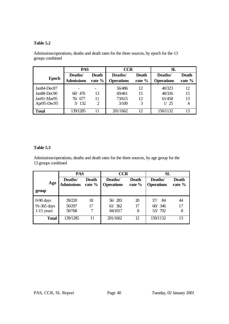# **Table 5.2**

|               | <b>PAS</b>                   |                        | <b>CCR</b>                   |                 | SL                           |                 |
|---------------|------------------------------|------------------------|------------------------------|-----------------|------------------------------|-----------------|
| <b>Epoch</b>  | Deaths/<br><b>Admissions</b> | <b>Death</b><br>rate % | Deaths/<br><b>Operations</b> | Death<br>rate % | Deaths/<br><b>Operations</b> | Death<br>rate % |
| $Jan84-Dec87$ |                              |                        | 56/486                       | 12              | 40/323                       | 12              |
| Jan88-Dec90   | 60/476                       | 13                     | 69/461                       | 15              | 48/326                       | 15              |
| Jan91-Mar95   | 76⁄677                       | 11                     | 73/615                       | 12              | 61/458                       | 13              |
| Apr95-Dec95   | 3/132                        | 2                      | 3/100                        | 3               | 1/25                         |                 |
| <b>Total</b>  | 139/1285                     | 11                     | 201/1662                     | 12              | 150/1132                     | 13              |

Admissions/operations, deaths and death rates for the three sources, by epoch for the 13 groups combined

# **Table 5.3**

Admissions/operations, deaths and death rates for the three sources, by age group for the 13 groups combined

|                                            | <b>PAS</b>                   |                        | <b>CCR</b>                   |                        | SL                             |                        |
|--------------------------------------------|------------------------------|------------------------|------------------------------|------------------------|--------------------------------|------------------------|
| Age<br>group                               | Deaths/<br><b>Admissions</b> | <b>Death</b><br>rate % | Deaths/<br><b>Operations</b> | <b>Death</b><br>rate % | Deaths/<br><b>Operations</b>   | <b>Death</b><br>rate % |
| $0-90$ days<br>91-365 days<br>$1-15$ years | 39/220<br>50/297<br>50/768   | 18<br>17<br>7          | 56/283<br>61/362<br>84/1017  | 20<br>17<br>8          | -84<br>37/<br>60/346<br>53/702 | 44<br>17<br>8          |
| <b>Total</b>                               | 139/1285                     | 11                     | 201/1662                     | 12                     | 150/1132                       | 13                     |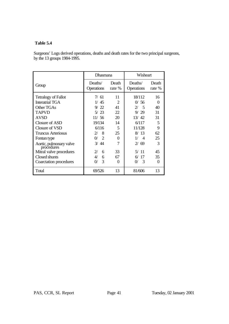## **Table 5.4**

Surgeons' Logs derived operations, deaths and death rates for the two principal surgeons, by the 13 groups 1984-1995.

|                                       | Dhasmana                                |                 | Wisheart                       |                   |  |
|---------------------------------------|-----------------------------------------|-----------------|--------------------------------|-------------------|--|
| Group                                 | Deaths/<br><b>Operations</b>            | Death<br>rate % | Deaths/<br><b>Operations</b>   | Death<br>rate %   |  |
| <b>Tetralogy of Fallot</b>            | 7/61                                    | 11              | 18/112                         | 16                |  |
| <b>Interatrial TGA</b>                | 1/45                                    | $\overline{2}$  | 0/56                           | $\Omega$          |  |
| Other TGAs                            | 9/22                                    | 41              | $\overline{\phantom{1}}$<br>2/ | 40                |  |
| <b>TAPVD</b>                          | 5/23                                    | 22              | 9/29                           | 31                |  |
| <b>AVSD</b>                           | 11/56                                   | 20              | 13/42                          | 31                |  |
| Closure of ASD                        | 19/134                                  | 14              | 6/117                          | 5                 |  |
| Closure of VSD                        | 6/116                                   | 5               | 11/128                         | 9                 |  |
| Truncus Arteriosus                    | 8<br>$\mathcal{Z}/$                     | 25              | 8/13                           | 62                |  |
| Fontan type                           | $\mathcal{D}_{\mathcal{A}}$<br>$\Omega$ | $\Omega$        | $\overline{A}$<br>17           | 25                |  |
| Aortic, pulmonary valve<br>procedures | 3/44                                    | 7               | 2/69                           | 3                 |  |
| Mitral valve procedures               | 6<br>$\mathcal{Z}/$                     | 33              | 5/11                           | 45                |  |
| Closed shunts                         | $\frac{4}{3}$<br>6                      | 67              | 17<br>6/                       | 35                |  |
| Coarctation procedures                | 3<br>$\Omega$                           | $\theta$        | 3<br>$\Omega$                  | $\mathbf{\Omega}$ |  |
| Total                                 | 69/526                                  | 13              | 81/606                         | 13                |  |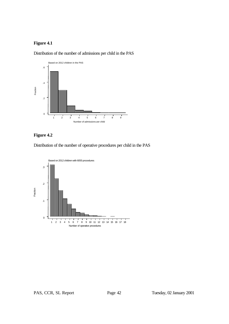# **Figure 4.1**



Distribution of the number of admissions per child in the PAS

# **Figure 4.2**

Distribution of the number of operative procedures per child in the PAS

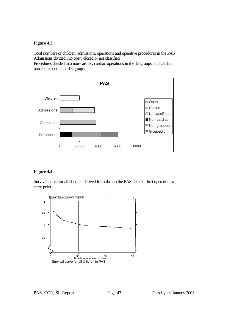#### **Figure 4.3**

Total numbers of children, admissions, operations and operative procedures in the PAS Admissions divided into open, closed or not classified.

Procedures divided into non-cardiac, cardiac operations in the 13 groups, and cardiac procedures not in the 13 groups



## **Figure 4.4**

Survival curve for all children derived from data in the PAS. Date of first operation as entry point.

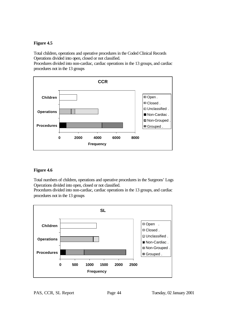## **Figure 4.5**

Total children, operations and operative procedures in the Coded Clinical Records Operations divided into open, closed or not classified.

Procedures divided into non-cardiac, cardiac operations in the 13 groups, and cardiac procedures not in the 13 groups



# **Figure 4.6**

Total numbers of children, operations and operative procedures in the Surgeons' Logs Operations divided into open, closed or not classified.

Procedures divided into non-cardiac, cardiac operations in the 13 groups, and cardiac procedures not in the 13 groups

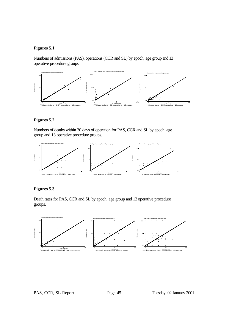## **Figures 5.1**

Numbers of admissions (PAS), operations (CCR and SL) by epoch, age group and 13 operative procedure groups.



#### **Figures 5.2**

Numbers of deaths within 30 days of operation for PAS, CCR and SL by epoch, age group and 13 operative procedure groups.



## **Figures 5.3**

Death rates for PAS, CCR and SL by epoch, age group and 13 operative procedure groups.



PAS, CCR, SL Report Page 45 Tuesday, 02 January 2001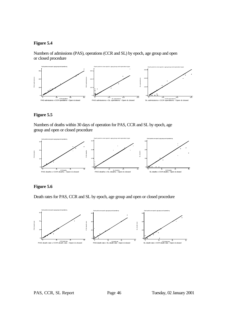#### **Figure 5.4**

Numbers of admissions (PAS), operations (CCR and SL) by epoch, age group and open or closed procedure



# **Figure 5.5**

Numbers of deaths within 30 days of operation for PAS, CCR and SL by epoch, age group and open or closed procedure



## **Figure 5.6**

Death rates for PAS, CCR and SL by epoch, age group and open or closed procedure



PAS, CCR, SL Report Page 46 Tuesday, 02 January 2001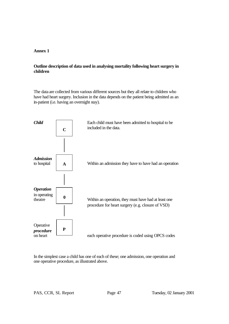## **Annex 1**

# **Outline description of data used in analysing mortality following heart surgery in children**

The data are collected from various different sources but they all relate to children who have had heart surgery. Inclusion in the data depends on the patient being admitted as an in-patient (i.e. having an overnight stay).



In the simplest case a child has one of each of these; one admission, one operation and one operative procedure, as illustrated above.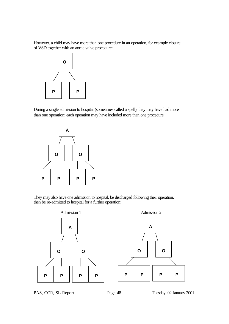However, a child may have more than one procedure in an operation, for example closure of VSD together with an aortic valve procedure:



During a single admission to hospital (sometimes called a spell), they may have had more than one operation; each operation may have included more than one procedure:



They may also have one admission to hospital, be discharged following their operation, then be re-admitted to hospital for a further operation:



PAS, CCR, SL Report Page 48 Tuesday, 02 January 2001